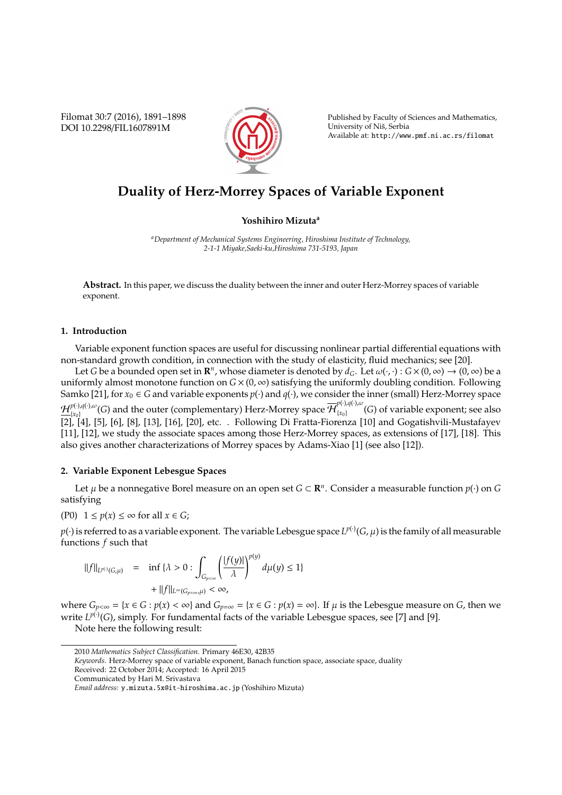Filomat 30:7 (2016), 1891–1898 DOI 10.2298/FIL1607891M



Published by Faculty of Sciences and Mathematics, University of Niš, Serbia Available at: http://www.pmf.ni.ac.rs/filomat

# **Duality of Herz-Morrey Spaces of Variable Exponent**

#### **Yoshihiro Mizuta<sup>a</sup>**

*<sup>a</sup>Department of Mechanical Systems Engineering, Hiroshima Institute of Technology, 2-1-1 Miyake,Saeki-ku,Hiroshima 731-5193, Japan*

**Abstract.** In this paper, we discuss the duality between the inner and outer Herz-Morrey spaces of variable exponent.

#### **1. Introduction**

Variable exponent function spaces are useful for discussing nonlinear partial differential equations with non-standard growth condition, in connection with the study of elasticity, fluid mechanics; see [20].

Let *G* be a bounded open set in  $\mathbb{R}^n$ , whose diameter is denoted by  $d_G$ . Let  $\omega(\cdot,\cdot): G\times(0,\infty)\to (0,\infty)$  be a uniformly almost monotone function on  $G \times (0, \infty)$  satisfying the uniformly doubling condition. Following Samko [21], for  $x_0 \in G$  and variable exponents  $p(\cdot)$  and  $q(\cdot)$ , we consider the inner (small) Herz-Morrey space  $\mathcal{H}^{p(\cdot),q(\cdot),\omega}_{\cdot}$  $F^{(t),q(t),\omega}_{\{x_0\}}(G)$  and the outer (complementary) Herz-Morrey space  $\overline{\mathcal{H}}_{\{x_0\}}^{p(\cdot),q(\cdot),\omega}$  ${r_{x_0}}(G)$  of variable exponent; see also [2], [4], [5], [6], [8], [13], [16], [20], etc. . Following Di Fratta-Fiorenza [10] and Gogatishvili-Mustafayev [11], [12], we study the associate spaces among those Herz-Morrey spaces, as extensions of [17], [18]. This also gives another characterizations of Morrey spaces by Adams-Xiao [1] (see also [12]).

#### **2. Variable Exponent Lebesgue Spaces**

Let  $\mu$  be a nonnegative Borel measure on an open set  $G \subset \mathbb{R}^n$ . Consider a measurable function  $p(\cdot)$  on  $G$ satisfying

$$
(P0) \quad 1 \le p(x) \le \infty \text{ for all } x \in G;
$$

 $p(\cdot)$  is referred to as a variable exponent. The variable Lebesgue space  $L^{p(\cdot)}(G,\mu)$  is the family of all measurable functions *f* such that

$$
\begin{array}{rcl}\n||f||_{L^{p(\cdot)}(G,\mu)} & = & \inf \{ \lambda > 0 : \int_{G_{p<\infty}} \left( \frac{|f(y)|}{\lambda} \right)^{p(y)} d\mu(y) \le 1 \} \\
& & + \|f\|_{L^{\infty}(G_{p=\infty},\mu)} < \infty,\n\end{array}
$$

where  $G_{p<\infty} = \{x \in G : p(x) < \infty\}$  and  $G_{p=\infty} = \{x \in G : p(x) = \infty\}$ . If  $\mu$  is the Lebesgue measure on *G*, then we write  $L^{p(\cdot)}(G)$ , simply. For fundamental facts of the variable Lebesgue spaces, see [7] and [9].

Note here the following result:

<sup>2010</sup> *Mathematics Subject Classification*. Primary 46E30, 42B35

*Keywords*. Herz-Morrey space of variable exponent, Banach function space, associate space, duality

Received: 22 October 2014; Accepted: 16 April 2015

Communicated by Hari M. Srivastava

*Email address:* y.mizuta.5x@it-hiroshima.ac.jp (Yoshihiro Mizuta)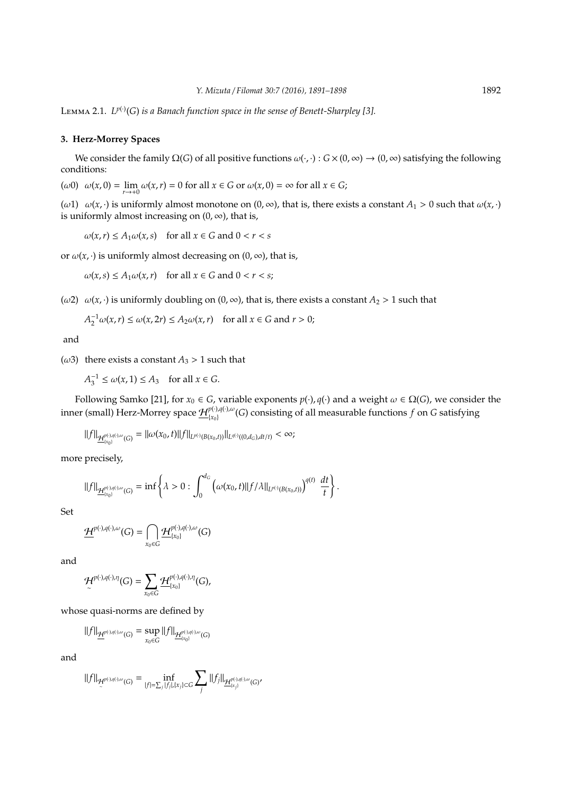Lemma 2.1. *L p*(·) (*G*) *is a Banach function space in the sense of Benett-Sharpley [3].*

### **3. Herz-Morrey Spaces**

We consider the family  $\Omega(G)$  of all positive functions  $\omega(\cdot, \cdot): G \times (0, \infty) \to (0, \infty)$  satisfying the following conditions:

(*ω*0)  $\omega(x, 0) = \lim_{r \to +0} \omega(x, r) = 0$  for all  $x \in G$  or  $\omega(x, 0) = \infty$  for all  $x \in G$ ;

(ω1)  $ω(x, ·)$  is uniformly almost monotone on  $(0, ∞)$ , that is, there exists a constant  $A_1 > 0$  such that  $ω(x, ·)$ is uniformly almost increasing on  $(0, \infty)$ , that is,

 $\omega(x, r) \le A_1 \omega(x, s)$  for all  $x \in G$  and  $0 < r < s$ 

or  $\omega(x, \cdot)$  is uniformly almost decreasing on  $(0, \infty)$ , that is,

$$
\omega(x,s) \le A_1 \omega(x,r) \quad \text{for all } x \in G \text{ and } 0 < r < s;
$$

(ω2)  $ω(x, ·)$  is uniformly doubling on (0, ∞), that is, there exists a constant *A*<sub>2</sub> > 1 such that

$$
A_2^{-1}\omega(x,r) \le \omega(x,2r) \le A_2\omega(x,r) \quad \text{for all } x \in G \text{ and } r > 0;
$$

and

( $\omega$ 3) there exists a constant  $A_3 > 1$  such that

 $A_3^{-1} \le \omega(x, 1) \le A_3$  for all  $x \in G$ .

Following Samko [21], for  $x_0 \in G$ , variable exponents  $p(\cdot)$ ,  $q(\cdot)$  and a weight  $\omega \in \Omega(G)$ , we consider the inner (small) Herz-Morrey space  $\mathcal{H}_{\{\tau_{\alpha}\}}^{p(\cdot),q(\cdot),\omega}$ {*x*0} (*G*) consisting of all measurable functions *f* on *G* satisfying

 $||f||_{\mathcal{H}^{p(\cdot),q(\cdot),\omega}_{(G)}} = ||\omega(x_0,t)||f||_{L^{p(\cdot)}(B(x_0,t))}||_{L^{q(\cdot)}((0,d_G),dt/t)} < \infty;$ 

more precisely,

$$
||f||_{\underline{\mathcal{H}}_{[x_0]}^{p(\cdot),q(\cdot),\omega}(G)} = \inf \left\{ \lambda > 0 : \int_0^{d_G} \left( \omega(x_0,t) ||f/\lambda||_{L^{p(\cdot)}(B(x_0,t))} \right)^{q(t)} \frac{dt}{t} \right\}.
$$

Set

$$
\underline{\mathcal{H}}^{p(\cdot),q(\cdot),\omega}(G)=\bigcap_{x_0\in G}\underline{\mathcal{H}}^{p(\cdot),q(\cdot),\omega}_{(x_0)}(G)
$$

and

$$
\mathcal{H}^{p(\cdot),q(\cdot),\eta}(G)=\sum_{x_0\in G}\mathcal{H}^{p(\cdot),q(\cdot),\eta}_{[x_0]}(G),
$$

whose quasi-norms are defined by

$$
||f||_{\underline{\mathcal{H}}^{p(\cdot),q(\cdot),\omega}(G)}=\sup_{x_0\in G}||f||_{\underline{\mathcal{H}}^{p(\cdot),q(\cdot),\omega}_{[x_0]}(G)}
$$

and

$$
\|f\|_{\mathcal{H}^{p(\cdot),q(\cdot),\omega}(G)}=\inf_{|f|=\sum_j|f_j|,|x_j| \subset G}\sum_j\|f_j\|_{\mathcal{H}^{p(\cdot),q(\cdot),\omega}_{[x_j]}}(G)'
$$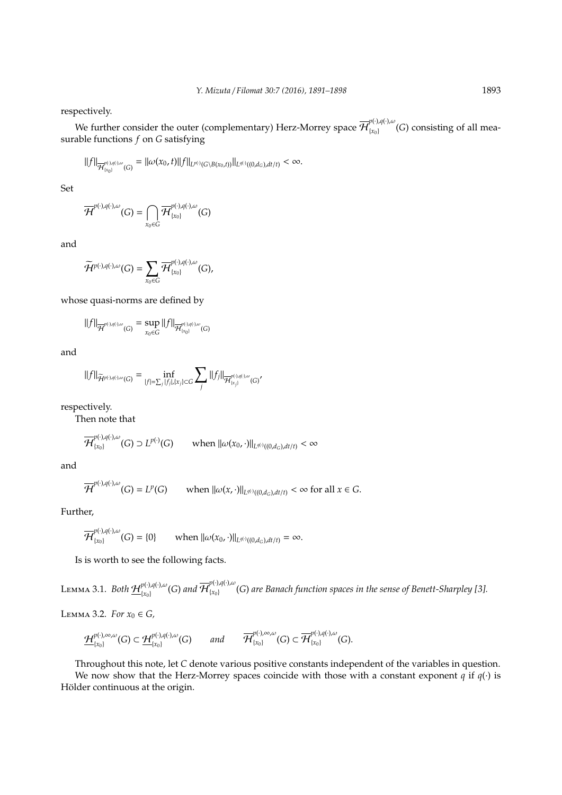respectively.

We further consider the outer (complementary) Herz-Morrey space  $\overline{\mathcal{H}}_{\{\chi_0\}}^{p(\cdot),q(\cdot),\omega}$  ${x_0}$  (*G*) consisting of all measurable functions *f* on *G* satisfying

$$
||f||_{\overline{\mathcal{H}}^{p(\cdot),q(\cdot),\omega}_{\{x_0\}}(G)}=||\omega(x_0,t)||f||_{L^{p(\cdot)}(G\setminus B(x_0,t))}||_{L^{q(\cdot)}((0,d_G),dt/t)}<\infty.
$$

Set

$$
\overline{\mathcal{H}}^{p(\cdot),q(\cdot),\omega}(G)=\bigcap_{x_0\in G}\overline{\mathcal{H}}^{p(\cdot),q(\cdot),\omega}_{\{x_0\}}(G)
$$

and

$$
\widetilde{\mathcal{H}}^{p(\cdot),q(\cdot),\omega}(G)=\sum_{x_0\in G}\overline{\mathcal{H}}_{\{x_0\}}^{p(\cdot),q(\cdot),\omega}(G),
$$

whose quasi-norms are defined by

$$
\|f\|_{\overline{\mathcal{H}}^{p(\cdot),q(\cdot),\omega}(G)}=\sup_{x_0\in G}\|f\|_{\overline{\mathcal{H}}^{p(\cdot),q(\cdot),\omega}_{[x_0]}(G)}
$$

and

$$
||f||_{\widetilde{\mathcal{H}}^{p(\cdot),q(\cdot),\omega}(G)} = \inf_{|f|=\sum_j|f_j|,|x_j|\subset G} \sum_j ||f_j||_{\overline{\mathcal{H}}^{p(\cdot),q(\cdot),\omega}_{\{x_j\}}(G)'}
$$

respectively.

Then note that

$$
\overline{\mathcal{H}}^{p(\cdot),q(\cdot),\omega}_{\{x_0\}}(G)\supset L^{p(\cdot)}(G)\qquad \text{when }\|\omega(x_0,\cdot)\|_{L^{q(\cdot)}((0,d_G),dt/t)}<\infty
$$

and

$$
\overline{\mathcal{H}}^{p(\cdot),q(\cdot),\omega}(G)=L^p(G)\qquad \text{when }\|\omega(x,\cdot)\|_{L^{q(\cdot)}((0,d_G),dt/t)}<\infty\text{ for all }x\in G.
$$

Further,

$$
\overline{\mathcal{H}}_{\{x_0\}}^{p(\cdot),q(\cdot),\omega}(G) = \{0\} \qquad \text{when } ||\omega(x_0,\cdot)||_{L^{q(\cdot)}((0,d_G),dt/t)} = \infty.
$$

Is is worth to see the following facts.

LEMMA 3.1. *Both*  $\mathcal{H}_{\text{free}}^{p(\cdot),q(\cdot),\omega}$  $_{\{x_0\}}^{p(\cdot),q(\cdot),\omega}(G)$  and  $\overline{\mathcal{H}}_{\{x_0\}}^{p(\cdot),q(\cdot),\omega}$ {*x*0} (*G*) *are Banach function spaces in the sense of Benett-Sharpley [3].*

**LEMMA 3.2.** *For*  $x_0$  ∈ *G*,

 $\mathcal{H}^{p(\cdot),\infty,\omega}_{\cdot}$  $_{\{x_0\}}^{p(\cdot),\infty,\omega}(G) \subset \underline{\mathcal{H}}_{\{x_0\}}^{p(\cdot),q(\cdot),\omega}(G)$  and  $\overline{\mathcal{H}}_{\{x_0\}}^{p(\cdot),\infty,\omega}$  $_{\{x_0\}}^{p(\cdot),\infty,\omega}(G) \subset \overline{\mathcal{H}}_{\{x_0\}}^{p(\cdot),q(\cdot),\omega}$  ${x_0}$  (*G*).

Throughout this note, let *C* denote various positive constants independent of the variables in question. We now show that the Herz-Morrey spaces coincide with those with a constant exponent  $q$  if  $q(\cdot)$  is Hölder continuous at the origin.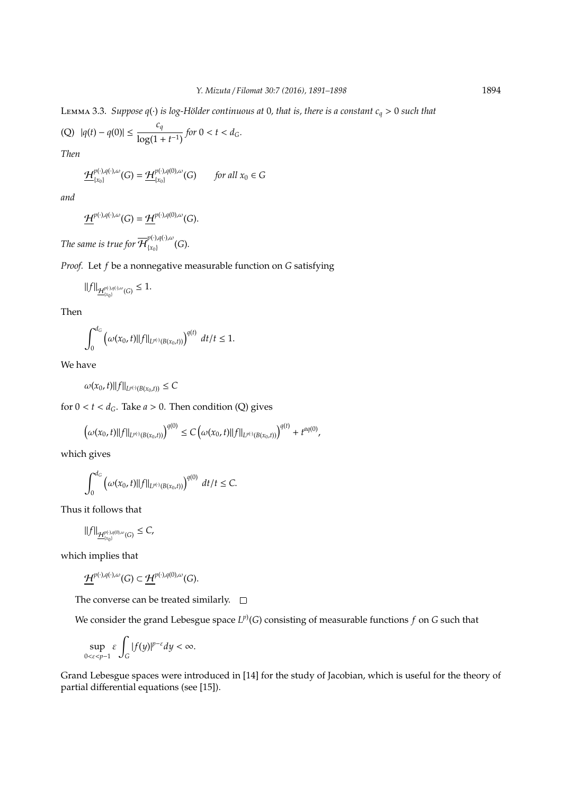LEMMA 3.3. *Suppose q*(·) *is log-Hölder continuous at* 0*, that is, there is a constant*  $c_q > 0$  *such that* 

(Q) 
$$
|q(t) - q(0)| \le \frac{c_q}{\log(1 + t^{-1})}
$$
 for  $0 < t < d_G$ .

*Then*

$$
\underline{\mathcal{H}}_{\{x_0\}}^{p(\cdot),q(\cdot),\omega}(G) = \underline{\mathcal{H}}_{\{x_0\}}^{p(\cdot),q(0),\omega}(G) \qquad \text{for all } x_0 \in G
$$

*and*

$$
\underline{\mathcal{H}}^{p(\cdot),q(\cdot),\omega}(G)=\underline{\mathcal{H}}^{p(\cdot),q(0),\omega}(G).
$$

*The same is true for*  $\overline{\mathcal{H}}_{\{\chi_{0}\}}^{p(\cdot),q(\cdot),\omega}$  ${x_0}$   $(G)$ .

*Proof.* Let *f* be a nonnegative measurable function on *G* satisfying

$$
\|f\|_{\underline{\mathcal{H}}^{p(\cdot),q(\cdot),\omega}_{\{x_0\}}(G)}\leq 1.
$$

Then

$$
\int_0^{d_G} \left( \omega(x_0, t) ||f||_{L^{p(\cdot)}(B(x_0, t))} \right)^{q(t)} dt/t \le 1.
$$

We have

 $\ddot{\phantom{a}}$ 

$$
\omega(x_0, t) ||f||_{L^{p(\cdot)}(B(x_0, t))} \leq C
$$

for  $0 < t < d_G$ . Take  $a > 0$ . Then condition (Q) gives

$$
\left(\omega(x_0,t)\|f\|_{L^{p(\cdot)}(B(x_0,t))}\right)^{q(0)} \leq C\left(\omega(x_0,t)\|f\|_{L^{p(\cdot)}(B(x_0,t))}\right)^{q(t)}+t^{aq(0)},
$$

which gives

$$
\int_0^{d_G} \left( \omega(x_0, t) ||f||_{L^{p(\cdot)}(B(x_0, t))} \right)^{q(0)} dt/t \leq C.
$$

Thus it follows that

$$
\|f\|_{\underline{\mathcal{H}}^{p(\cdot),q(0),\omega}_{[x_0]}(G)}\leq C,
$$

which implies that

$$
\underline{\mathcal{H}}^{p(\cdot),q(\cdot),\omega}(G)\subset \underline{\mathcal{H}}^{p(\cdot),q(0),\omega}(G).
$$

The converse can be treated similarly.  $\square$ 

We consider the grand Lebesgue space  $L^{p)}(G)$  consisting of measurable functions  $f$  on  $G$  such that

$$
\sup_{0\leq \varepsilon\leq p-1}\varepsilon\int_G|f(y)|^{p-\varepsilon}dy<\infty.
$$

Grand Lebesgue spaces were introduced in [14] for the study of Jacobian, which is useful for the theory of partial differential equations (see [15]).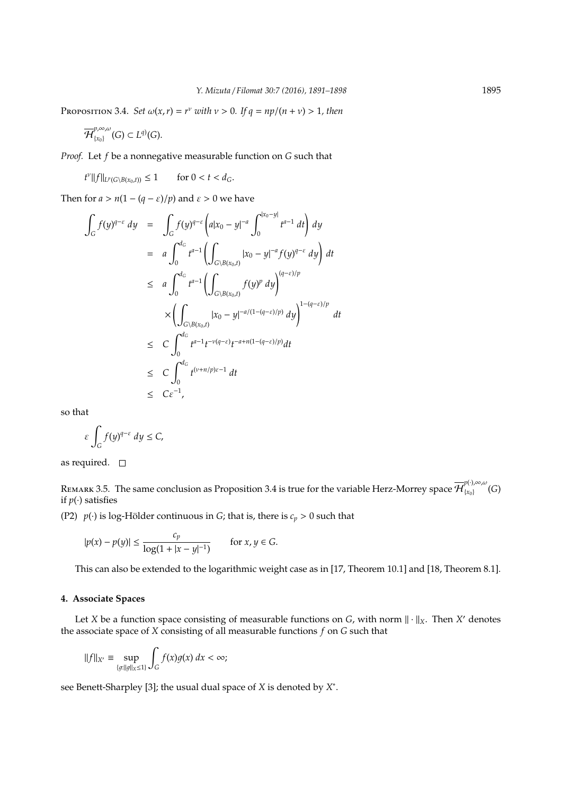PROPOSITION 3.4. *Set*  $\omega(x, r) = r^{\nu}$  *with*  $\nu > 0$ *. If*  $q = np/(n + \nu) > 1$ *, then* 

$$
\overline{\mathcal{H}}_{\{x_0\}}^{p,\infty,\omega}(G)\subset L^{q)}(G).
$$

*Proof.* Let *f* be a nonnegative measurable function on *G* such that

 $f^{\nu}||f||_{L^p(G \setminus B(x_0,t))} \leq 1$  for  $0 < t < d_G$ .

Then for  $a > n(1 - (q - \varepsilon)/p)$  and  $\varepsilon > 0$  we have

$$
\int_{G} f(y)^{q-\varepsilon} dy = \int_{G} f(y)^{q-\varepsilon} \left( a|x_{0} - y|^{-a} \int_{0}^{|x_{0} - y|} t^{a-1} dt \right) dy
$$
\n
$$
= a \int_{0}^{d_{G}} t^{a-1} \left( \int_{G \setminus B(x_{0},t)} |x_{0} - y|^{-a} f(y)^{q-\varepsilon} dy \right) dt
$$
\n
$$
\leq a \int_{0}^{d_{G}} t^{a-1} \left( \int_{G \setminus B(x_{0},t)} f(y)^{p} dy \right)^{(q-\varepsilon)/p}
$$
\n
$$
\times \left( \int_{G \setminus B(x_{0},t)} |x_{0} - y|^{-a/(1-(q-\varepsilon)/p)} dy \right)^{1-(q-\varepsilon)/p} dt
$$
\n
$$
\leq C \int_{0}^{d_{G}} t^{a-1} t^{-\nu(q-\varepsilon)} t^{-a+n(1-(q-\varepsilon)/p)} dt
$$
\n
$$
\leq C \int_{0}^{d_{G}} t^{(\nu+n/p)\varepsilon-1} dt
$$
\n
$$
\leq C \varepsilon^{-1},
$$

so that

$$
\varepsilon \int_G f(y)^{q-\varepsilon} dy \le C,
$$

as required.  $\square$ 

Rемакк 3.5. The same conclusion as Proposition 3.4 is true for the variable Herz-Morrey space  $\overline{\mathcal{H}}^{{p(\cdot)},\infty,\omega}_{\{\chi_0\}}$  ${x_0}$  (*G*) if  $p(\cdot)$  satisfies

(P2)  $p(\cdot)$  is log-Hölder continuous in *G*; that is, there is  $c_p > 0$  such that

$$
|p(x) - p(y)| \le \frac{c_p}{\log(1 + |x - y|^{-1})}
$$
 for  $x, y \in G$ .

This can also be extended to the logarithmic weight case as in [17, Theorem 10.1] and [18, Theorem 8.1].

# **4. Associate Spaces**

Let *X* be a function space consisting of measurable functions on *G*, with norm  $\|\cdot\|_X$ . Then *X'* denotes the associate space of *X* consisting of all measurable functions *f* on *G* such that

$$
||f||_{X'} \equiv \sup_{\{g: ||g||_X \le 1\}} \int_G f(x)g(x) \, dx < \infty;
$$

see Benett-Sharpley [3]; the usual dual space of *X* is denoted by *X* ∗ .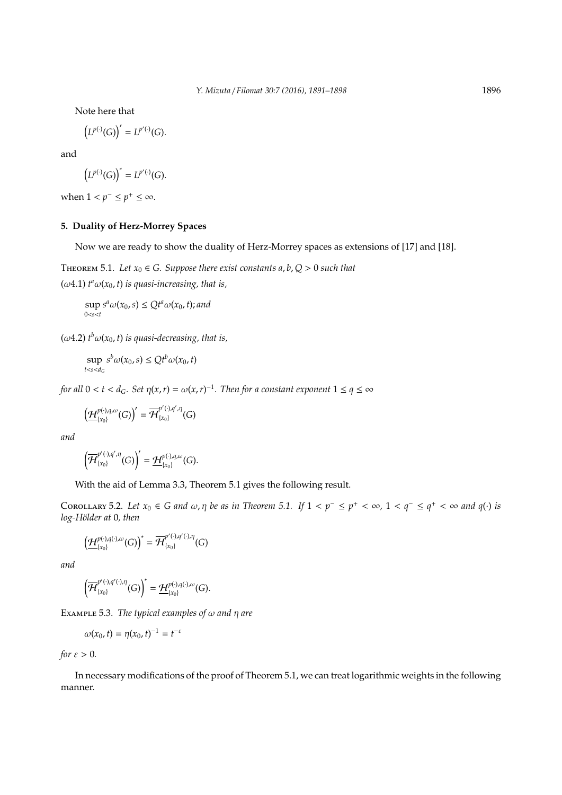Note here that

$$
\left(L^{p(\cdot)}(G)\right)'=L^{p'(\cdot)}(G).
$$

and

$$
\big(L^{p(\cdot)}(G)\big)^*=L^{p'(\cdot)}(G).
$$

when  $1 < p^- \le p^+ \le \infty$ .

# **5. Duality of Herz-Morrey Spaces**

Now we are ready to show the duality of Herz-Morrey spaces as extensions of [17] and [18].

THEOREM 5.1. Let  $x_0 \in G$ . Suppose there exist constants  $a, b, Q > 0$  such that

 $(\omega 4.1)$   $t^a \omega(x_0, t)$  *is quasi-increasing, that is,* 

sup 0<*s*<*t*  $s^a \omega(x_0, s) \leq Q t^a \omega(x_0, t)$ ; and

 $(\omega 4.2)$   $t^b \omega(x_0, t)$  *is quasi-decreasing, that is,* 

$$
\sup_{t
$$

*for all*  $0 < t < d_G$ *. Set*  $\eta(x, r) = \omega(x, r)^{-1}$ *. Then for a constant exponent*  $1 \le q \le \infty$ 

$$
\left(\underline{\mathcal{H}}_{\{x_0\}}^{p(\cdot),q,\omega}(G)\right)'=\overline{\mathcal{H}}_{\{x_0\}}^{p'(\cdot),q',\eta}(G)
$$

*and*

$$
\left(\overline{\mathcal{H}}_{\{x_0\}}^{p'(\cdot),q',\eta}(G)\right)'=\underline{\mathcal{H}}_{\{x_0\}}^{p(\cdot),q,\omega}(G).
$$

With the aid of Lemma 3.3, Theorem 5.1 gives the following result.

COROLLARY 5.2. Let  $x_0 \in G$  and  $\omega, \eta$  be as in Theorem 5.1. If  $1 < p^- \le p^+ < \infty$ ,  $1 < q^- \le q^+ < \infty$  and  $q(\cdot)$  is *log-H¨older at* 0*, then*

$$
\left(\underline{\mathcal{H}}^{\text{p}(\cdot),\text{q}(\cdot),\omega}_{\{x_0\}}(G)\right)^*=\overline{\mathcal{H}}^{\text{p}'(\cdot),\text{q}'(\cdot),\eta}_{\{x_0\}}(G)
$$

*and*

$$
\left(\overline{\mathcal{H}}_{\{x_0\}}^{p'(\cdot),q'(\cdot),\eta}(G)\right)^*=\underline{\mathcal{H}}_{\{x_0\}}^{p(\cdot),q(\cdot),\omega}(G).
$$

Example 5.3. *The typical examples of*  $\omega$  *and*  $\eta$  *are* 

$$
\omega(x_0,t)=\eta(x_0,t)^{-1}=t^{-\varepsilon}
$$

*for*  $\varepsilon > 0$ *.* 

In necessary modifications of the proof of Theorem 5.1, we can treat logarithmic weights in the following manner.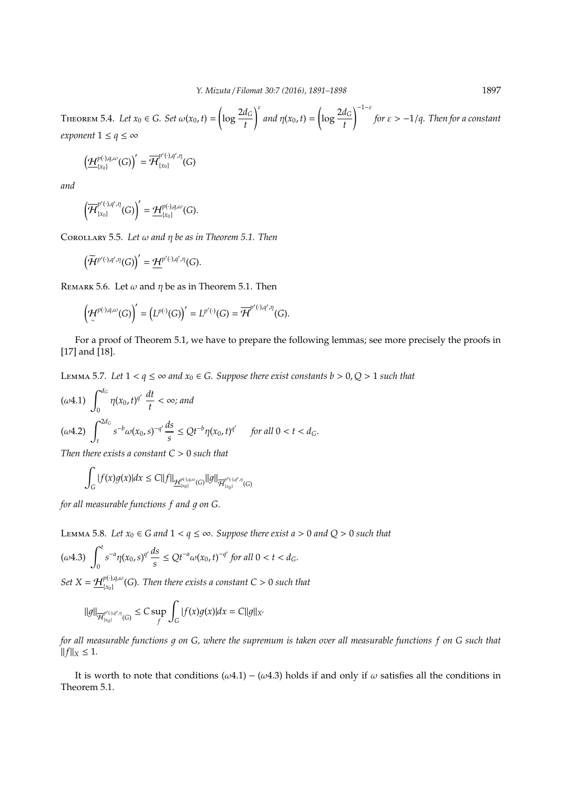THEOREM 5.4. *Let*  $x_0 \in G$ . *Set*  $\omega(x_0, t) = \left(\log \frac{2d_G}{t}\right)$  $\int$ <sup>ε</sup> *and*  $\eta(x_0, t) =$  $\left(\log \frac{2d_G}{t}\right)$  $\bigwedge^{-1-\varepsilon}$ *for* ε > −1/*q. Then for a constant exponent*  $1 \leq q \leq \infty$ 

$$
\left(\underline{\mathcal{H}}_{\{x_0\}}^{p(\cdot),q,\omega}(G)\right)'=\overline{\mathcal{H}}_{\{x_0\}}^{p'(\cdot),q',\eta}(G)
$$

*and*

$$
\left(\overline{\mathcal{H}}_{\{x_0\}}^{p'(\cdot),q',\eta}(G)\right)'=\underline{\mathcal{H}}_{\{x_0\}}^{p(\cdot),q,\omega}(G).
$$

Corollary 5.5. *Let* ω *and* η *be as in Theorem 5.1. Then*

$$
\left(\widetilde{\mathcal{H}}^{p'(\cdot),q',\eta}(G)\right)'=\underline{\mathcal{H}}^{p'(\cdot),q',\eta}(G).
$$

REMARK 5.6. Let  $\omega$  and  $\eta$  be as in Theorem 5.1. Then

$$
\left(\mathcal{H}^{p(\cdot),q,\omega}(G)\right)'=\left(L^{p(\cdot)}(G)\right)'=L^{p'(\cdot)}(G)=\overline{\mathcal{H}}^{p'(\cdot),q',\eta}(G).
$$

For a proof of Theorem 5.1, we have to prepare the following lemmas; see more precisely the proofs in [17] and [18].

LEMMA 5.7. Let 1 <  $q$  ≤ ∞ *and*  $x_0$  ∈ *G.* Suppose there exist constants  $b > 0$ ,  $Q > 1$  such that

$$
(\omega 4.1) \int_0^{d_G} \eta(x_0, t)^{q'} \frac{dt}{t} < \infty; \text{ and}
$$
  

$$
(\omega 4.2) \int_t^{2d_G} s^{-b} \omega(x_0, s)^{-q'} \frac{ds}{s} \leq Qt^{-b} \eta(x_0, t)^{q'} \quad \text{for all } 0 < t < d_G.
$$

*Then there exists a constant C* > 0 *such that*

$$
\int_G |f(x)g(x)|dx \leq C||f||_{\underline{\mathcal{H}}_{[x_0]}^{p(\cdot),q,\omega}(G)}||g||_{\overline{\mathcal{H}}_{[x_0]}^{p'(\cdot),q',\eta}(G)}
$$

*for all measurable functions f and g on G.* 

LEMMA 5.8. Let  $x_0$  ∈ *G* and  $1 < q \leq \infty$ . Suppose there exist a > 0 and  $Q$  > 0 such that

$$
(\omega 4.3) \int_0^t s^{-a} \eta(x_0, s)^{q'} \frac{ds}{s} \leq Q t^{-a} \omega(x_0, t)^{-q'} \text{ for all } 0 < t < d_G.
$$

 $Set X = H_{\{r_0\}}^{p(\cdot),q,\omega}$ {*x*0} (*G*)*. Then there exists a constant C* > 0 *such that*

$$
\|g\|_{\overline{\mathcal{H}}_{[x_0)}^{p'(\cdot),q',\eta}(G)} \leq C \sup_f \int_G |f(x)g(x)| dx = C \|g\|_{X'}
$$

*for all measurable functions q on G, where the supremum is taken over all measurable functions f on G such that*  $||f||_X \leq 1.$ 

It is worth to note that conditions ( $\omega$ 4.1) – ( $\omega$ 4.3) holds if and only if  $\omega$  satisfies all the conditions in Theorem 5.1.